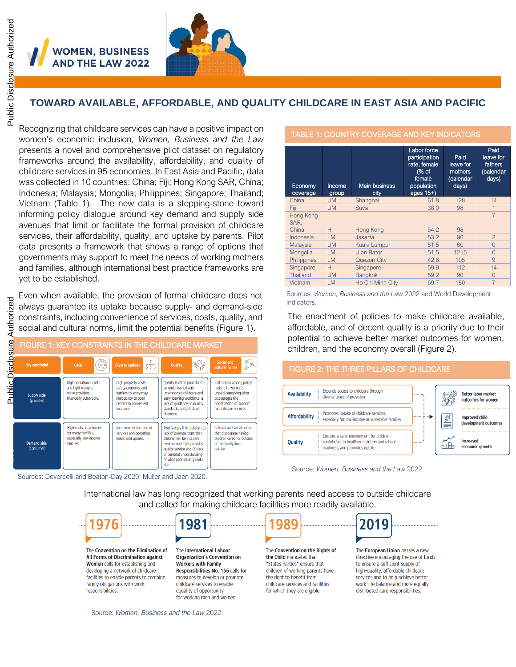**NOMEN, BUSINESS AND THE LAW 2022** 



### **TOWARD AVAILABLE, AFFORDABLE, AND QUALITY CHILDCARE IN EAST ASIA AND PACIFIC**

Recognizing that childcare services can have a positive impact on women's economic inclusion*, Women, Business and the Law* presents a novel and comprehensive pilot dataset on regulatory frameworks around the availability, affordability, and quality of childcare services in 95 economies. In East Asia and Pacific, data was collected in 10 countries: China; Fiji; Hong Kong SAR, China; Indonesia; Malaysia; Mongolia; Philippines; Singapore; Thailand; Vietnam (Table 1). The new data is a stepping-stone toward informing policy dialogue around key demand and supply side avenues that limit or facilitate the formal provision of childcare services, their affordability, quality, and uptake by parents. Pilot data presents a framework that shows a range of options that governments may support to meet the needs of working mothers and families, although international best practice frameworks are yet to be established.

Even when available, the provision of formal childcare does not always guarantee its uptake because supply- and demand-side constraints, including convenience of services, costs, quality, and social and cultural norms, limit the potential benefits (Figure 1).



Sources: Devercelli and Beaton-Day 2020; Muller and Jaen 2020.

976

#### TABLE 1: COUNTRY COVERAGE AND KEY INDICATORS

| Economy<br>coverage | Income<br>group | <b>Main business</b><br>city | Labor force<br>participation<br>rate, female<br>(% of<br>female<br>population<br>ages $15+$ ) | Paid<br>leave for<br>mothers<br>(calendar<br>days) | Paid<br>leave for<br>fathers<br>(calendar<br>days) |
|---------------------|-----------------|------------------------------|-----------------------------------------------------------------------------------------------|----------------------------------------------------|----------------------------------------------------|
| China               | <b>UMI</b>      | Shanghai                     | 61.8                                                                                          | 128                                                | 14                                                 |
| Fiji                | UMI             | Suva                         | 38.0                                                                                          | 98                                                 | $\overline{1}$                                     |
| Hong Kong<br>SAR.   |                 |                              |                                                                                               |                                                    | $\overline{7}$                                     |
| China               | H <sub>II</sub> | Hong Kong                    | 54.2                                                                                          | 98                                                 |                                                    |
| Indonesia           | LMI             | Jakarta                      | 53.2                                                                                          | 90                                                 | $\overline{2}$                                     |
| Malaysia            | UMI             | Kuala Lumpur                 | 51.5                                                                                          | 60                                                 | $\Omega$                                           |
| Mongolia            | LMI             | Ulan Bator                   | 51.5                                                                                          | 1215                                               | $\Omega$                                           |
| Philippines         | LMI             | Quezon City                  | 42.6                                                                                          | 105                                                | 9                                                  |
| Singapore           | H <sub>II</sub> | Singapore                    | 59.9                                                                                          | 112                                                | 14                                                 |
| Thailand            | UMI             | <b>Bangkok</b>               | 59.2                                                                                          | 90                                                 | $\Omega$                                           |
| Vietnam             | LMI             | Ho Chi Minh City             | 69.7                                                                                          | 180                                                | 7                                                  |

Sources: *Women, Business and the Law* 2022 and World Development Indicators.

The enactment of policies to make childcare available, affordable, and of decent quality is a priority due to their potential to achieve better market outcomes for women, children, and the economy overall (Figure 2).



Source: *Women, Business and the Law* 2022.

International law has long recognized that working parents need access to outside childcare and called for making childcare facilities more readily available.

The Convention on the Flimination of All Forms of Discrimination against Women calls for establishing and developing a network of childcare facilities to enable parents to combine family obligations with work responsibilities.



The International Labour **Organization's Convention on Workers with Family** Responsibilities No. 156 calls for measures to develop or promote childcare services to enable equality of opportunity for working men and women.



The Convention on the Rights of the Child mandates that "States Parties" ensure that children of working parents have the right to benefit from childcare services and facilities for which they are eligible.



The **European Union** passes a new directive encouraging the use of funds to ensure a sufficient supply of high-quality, affordable childcare services and to help achieve better work-life balance and more equally distributed care responsibilities.

Source: *Women, Business and the Law* 2022.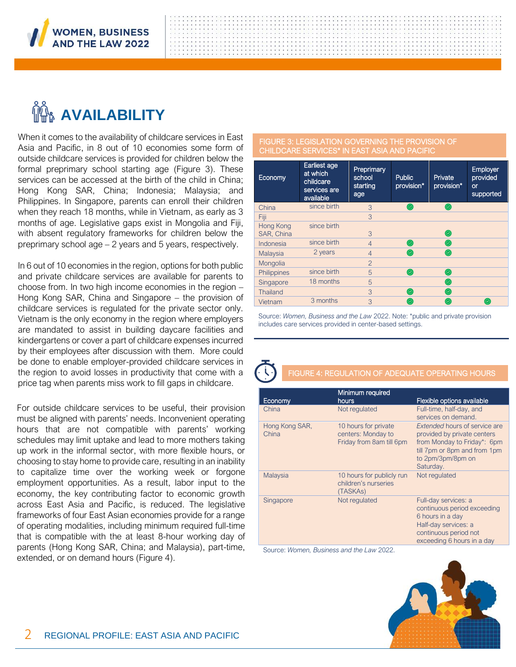

# **AVAILABILITY**

When it comes to the availability of childcare services in East Asia and Pacific, in 8 out of 10 economies some form of outside childcare services is provided for children below the formal preprimary school starting age (Figure 3). These services can be accessed at the birth of the child in China; Hong Kong SAR, China; Indonesia; Malaysia; and Philippines. In Singapore, parents can enroll their children when they reach 18 months, while in Vietnam, as early as 3 months of age. Legislative gaps exist in Mongolia and Fiji, with absent regulatory frameworks for children below the preprimary school age – 2 years and 5 years, respectively.

In 6 out of 10 economies in the region, options for both public and private childcare services are available for parents to choose from. In two high income economies in the region – Hong Kong SAR, China and Singapore – the provision of childcare services is regulated for the private sector only. Vietnam is the only economy in the region where employers are mandated to assist in building daycare facilities and kindergartens or cover a part of childcare expenses incurred by their employees after discussion with them. More could be done to enable employer-provided childcare services in the region to avoid losses in productivity that come with a price tag when parents miss work to fill gaps in childcare.

For outside childcare services to be useful, their provision must be aligned with parents' needs. Inconvenient operating hours that are not compatible with parents' working schedules may limit uptake and lead to more mothers taking up work in the informal sector, with more flexible hours, or choosing to stay home to provide care, resulting in an inability to capitalize time over the working week or forgone employment opportunities. As a result, labor input to the economy, the key contributing factor to economic growth across East Asia and Pacific, is reduced. The legislative frameworks of four East Asian economies provide for a range of operating modalities, including minimum required full-time that is compatible with the at least 8-hour working day of parents (Hong Kong SAR, China; and Malaysia), part-time, extended, or on demand hours (Figure 4).

#### FIGURE 3: LEGISLATION GOVERNING THE PROVISION OF CHILDCARE SERVICES\* IN EAST ASIA AND PACIFIC

| Economy                 | Earliest age<br>at which<br>childcare<br>services are<br>available | Preprimary<br>school<br>starting<br>age | <b>Public</b><br>provision* | Private<br>provision* | Employer<br>provided<br><b>or</b><br>supported |
|-------------------------|--------------------------------------------------------------------|-----------------------------------------|-----------------------------|-----------------------|------------------------------------------------|
| China                   | since birth                                                        | 3                                       | ◉                           | ◉                     |                                                |
| Fiji                    |                                                                    | 3                                       |                             |                       |                                                |
| Hong Kong<br>SAR, China | since birth                                                        | 3                                       |                             | ◎                     |                                                |
| Indonesia               | since birth                                                        | $\overline{4}$                          | ◎                           | ◎                     |                                                |
| Malaysia                | 2 years                                                            | $\overline{4}$                          | ◎                           | ◎                     |                                                |
| Mongolia                |                                                                    | $\overline{2}$                          |                             |                       |                                                |
| Philippines             | since birth                                                        | 5                                       | ◎                           | ◎                     |                                                |
| Singapore               | 18 months                                                          | 5                                       |                             | ◎                     |                                                |
| <b>Thailand</b>         |                                                                    | 3                                       | ◉                           | ◎                     |                                                |
| Vietnam                 | 3 months                                                           | 3                                       | છ.                          | $\odot$               | (⊘)                                            |

Source: *Women, Business and the Law* 2022. Note: \*public and private provision includes care services provided in center-based settings.

#### FIGURE 4: REGULATION OF ADEQUATE OPERATING HOURS

| Economy                 | Minimum required<br>hours                                              | Flexible options available                                                                                                                                    |
|-------------------------|------------------------------------------------------------------------|---------------------------------------------------------------------------------------------------------------------------------------------------------------|
|                         |                                                                        |                                                                                                                                                               |
| China                   | Not regulated                                                          | Full-time, half-day, and<br>services on demand.                                                                                                               |
| Hong Kong SAR,<br>China | 10 hours for private<br>centers: Monday to<br>Friday from 8am till 6pm | Extended hours of service are<br>provided by private centers<br>from Monday to Friday*: 6pm<br>till 7pm or 8pm and from 1pm<br>to 2pm/3pm/8pm on<br>Saturday. |
| Malaysia                | 10 hours for publicly run<br>children's nurseries<br>(TASKAs)          | Not regulated                                                                                                                                                 |
| Singapore               | Not regulated                                                          | Full-day services: a<br>continuous period exceeding<br>6 hours in a day<br>Half-day services: a<br>continuous period not<br>exceeding 6 hours in a day        |

Source: *Women, Business and the Law* 2022.

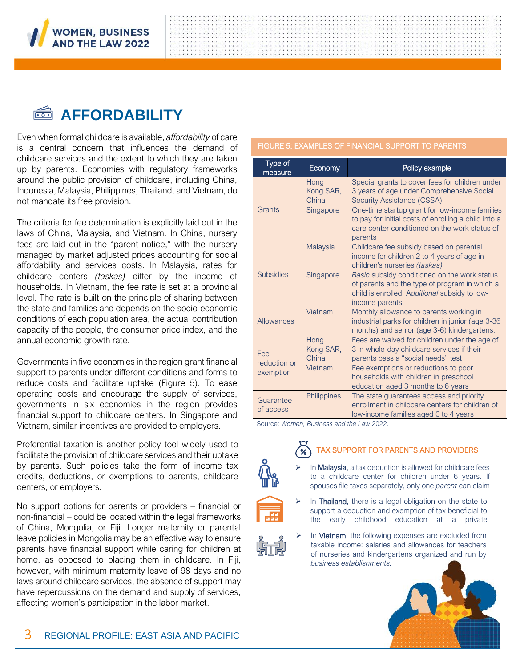

### **AFFORDABILITY**

Even when formal childcare is available, *affordability* of care is a central concern that influences the demand of childcare services and the extent to which they are taken up by parents. Economies with regulatory frameworks around the public provision of childcare, including China, Indonesia, Malaysia, Philippines, Thailand, and Vietnam, do not mandate its free provision.

The criteria for fee determination is explicitly laid out in the laws of China, Malaysia, and Vietnam. In China, nursery fees are laid out in the "parent notice," with the nursery managed by market adjusted prices accounting for social affordability and services costs. In Malaysia, rates for childcare centers *(taskas)* differ by the income of households. In Vietnam, the fee rate is set at a provincial level. The rate is built on the principle of sharing between the state and families and depends on the socio-economic conditions of each population area, the actual contribution capacity of the people, the consumer price index, and the annual economic growth rate.

Governments in five economies in the region grant financial support to parents under different conditions and forms to reduce costs and facilitate uptake (Figure 5). To ease operating costs and encourage the supply of services, governments in six economies in the region provides financial support to childcare centers. In Singapore and Vietnam, similar incentives are provided to employers.

Preferential taxation is another policy tool widely used to facilitate the provision of childcare services and their uptake by parents. Such policies take the form of income tax credits, deductions, or exemptions to parents, childcare centers, or employers.

No support options for parents or providers – financial or non-financial – could be located within the legal frameworks of China, Mongolia, or Fiji. Longer maternity or parental leave policies in Mongolia may be an effective way to ensure parents have financial support while caring for children at home, as opposed to placing them in childcare. In Fiji, however, with minimum maternity leave of 98 days and no laws around childcare services, the absence of support may have repercussions on the demand and supply of services, affecting women's participation in the labor market.

#### FIGURE 5: EXAMPLES OF FINANCIAL SUPPORT TO PARENTS

| Type of<br>measure     | Economy                    | Policy example                                                                                                                                                     |
|------------------------|----------------------------|--------------------------------------------------------------------------------------------------------------------------------------------------------------------|
|                        | Hong<br>Kong SAR,<br>China | Special grants to cover fees for children under<br>3 years of age under Comprehensive Social<br><b>Security Assistance (CSSA)</b>                                  |
| Grants                 | Singapore                  | One-time startup grant for low-income families<br>to pay for initial costs of enrolling a child into a<br>care center conditioned on the work status of<br>parents |
|                        | Malaysia                   | Childcare fee subsidy based on parental<br>income for children 2 to 4 years of age in<br>children's nurseries (taskas)                                             |
| <b>Subsidies</b>       | Singapore                  | Basic subsidy conditioned on the work status<br>of parents and the type of program in which a<br>child is enrolled; Additional subsidy to low-<br>income parents   |
| <b>Allowances</b>      | Vietnam                    | Monthly allowance to parents working in<br>industrial parks for children in junior (age 3-36<br>months) and senior (age 3-6) kindergartens.                        |
| Fee<br>reduction or    | Hong<br>Kong SAR,<br>China | Fees are waived for children under the age of<br>3 in whole-day childcare services if their<br>parents pass a "social needs" test                                  |
| exemption              | Vietnam                    | Fee exemptions or reductions to poor<br>households with children in preschool<br>education aged 3 months to 6 years                                                |
| Guarantee<br>of access | Philippines                | The state guarantees access and priority<br>enrollment in childcare centers for children of<br>low-income families aged 0 to 4 years                               |

Source: *Women, Business and the Law* 2022.



#### TAX SUPPORT FOR PARENTS AND PROVIDERS

In Malaysia, a tax deduction is allowed for childcare fees to a childcare center for children under 6 years. If spouses file taxes separately, only one *parent* can claim



- $\triangleright$  In Thailand, there is a legal obligation on the state to support a deduction and exemption of tax beneficial to the early childhood education at a private
- *establishment* or a *center*. ➢ In Vietnam, the following expenses are excluded from taxable income: salaries and allowances for teachers of nurseries and kindergartens organized and run by *business establishments.*

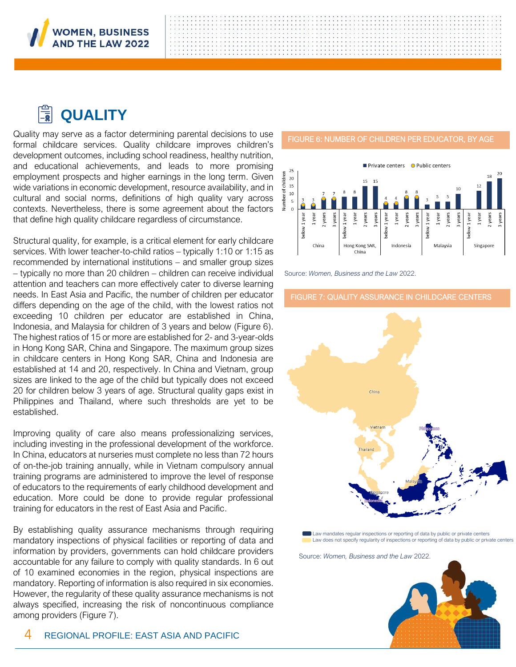

### **QUALITY**

Quality may serve as a factor determining parental decisions to use formal childcare services. Quality childcare improves children's development outcomes, including school readiness, healthy nutrition, and educational achievements, and leads to more promising employment prospects and higher earnings in the long term. Given wide variations in economic development, resource availability, and in cultural and social norms, definitions of high quality vary across contexts. Nevertheless, there is some agreement about the factors that define high quality childcare regardless of circumstance.

Structural quality, for example, is a critical element for early childcare services. With lower teacher-to-child ratios – typically 1:10 or 1:15 as recommended by international institutions – and smaller group sizes – typically no more than 20 children – children can receive individual attention and teachers can more effectively cater to diverse learning needs. In East Asia and Pacific, the number of children per educator differs depending on the age of the child, with the lowest ratios not exceeding 10 children per educator are established in China, Indonesia, and Malaysia for children of 3 years and below (Figure 6). The highest ratios of 15 or more are established for 2- and 3-year-olds in Hong Kong SAR, China and Singapore. The maximum group sizes in childcare centers in Hong Kong SAR, China and Indonesia are established at 14 and 20, respectively. In China and Vietnam, group sizes are linked to the age of the child but typically does not exceed 20 for children below 3 years of age. Structural quality gaps exist in Philippines and Thailand, where such thresholds are yet to be established.

Improving quality of care also means professionalizing services, including investing in the professional development of the workforce. In China, educators at nurseries must complete no less than 72 hours of on-the-job training annually, while in Vietnam compulsory annual training programs are administered to improve the level of response of educators to the requirements of early childhood development and education. More could be done to provide regular professional training for educators in the rest of East Asia and Pacific.

By establishing quality assurance mechanisms through requiring mandatory inspections of physical facilities or reporting of data and information by providers, governments can hold childcare providers accountable for any failure to comply with quality standards. In 6 out of 10 examined economies in the region, physical inspections are mandatory. Reporting of information is also required in six economies. However, the regularity of these quality assurance mechanisms is not always specified, increasing the risk of noncontinuous compliance among providers (Figure 7).

#### FIGURE 6: NUMBER OF CHILDREN PER EDUCATOR, BY AGE



Source: *Women, Business and the Law* 2022.

#### FIGURE 7: QUALITY ASSURANCE IN CHILDCARE CENTERS



Law mandates regular inspections or reporting of data by public or private centers Law does not specify regularity of inspections or reporting of data by public or private center

Source: *Women, Business and the Law* 2022.



4 REGIONAL PROFILE: EAST ASIA AND PACIFIC